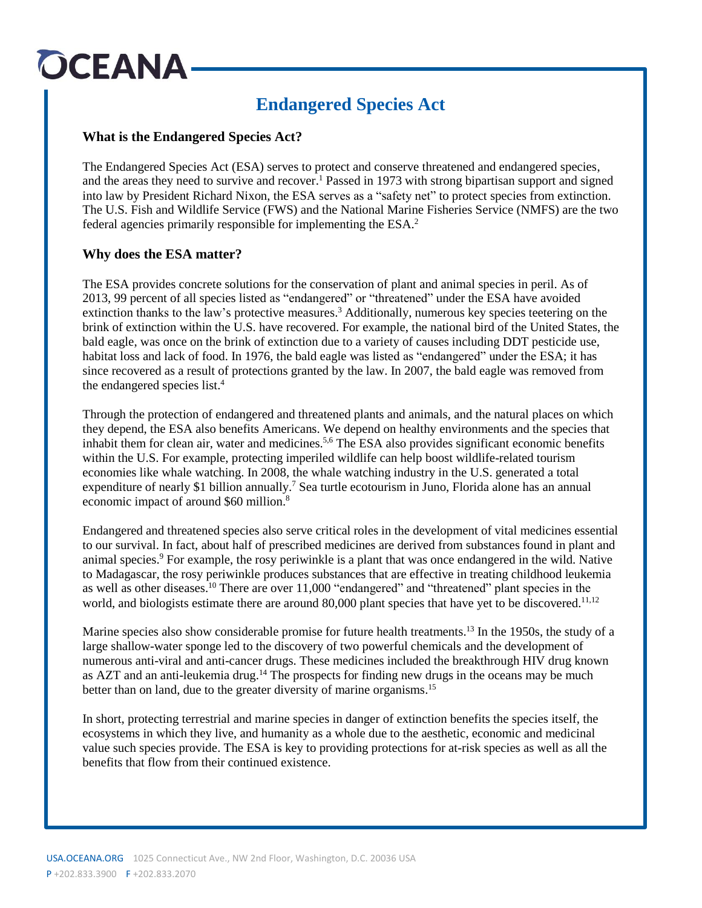# OCEANA

### **Endangered Species Act**

#### **What is the Endangered Species Act?**

The Endangered Species Act (ESA) serves to protect and conserve threatened and endangered species, and the areas they need to survive and recover.<sup>1</sup> Passed in 1973 with strong bipartisan support and signed into law by President Richard Nixon, the ESA serves as a "safety net" to protect species from extinction. The U.S. Fish and Wildlife Service (FWS) and the National Marine Fisheries Service (NMFS) are the two federal agencies primarily responsible for implementing the ESA.<sup>2</sup>

### **Why does the ESA matter?**

The ESA provides concrete solutions for the conservation of plant and animal species in peril. As of 2013, 99 percent of all species listed as "endangered" or "threatened" under the ESA have avoided extinction thanks to the law's protective measures.<sup>3</sup> Additionally, numerous key species teetering on the brink of extinction within the U.S. have recovered. For example, the national bird of the United States, the bald eagle, was once on the brink of extinction due to a variety of causes including DDT pesticide use, habitat loss and lack of food. In 1976, the bald eagle was listed as "endangered" under the ESA; it has since recovered as a result of protections granted by the law. In 2007, the bald eagle was removed from the endangered species list. 4

Through the protection of endangered and threatened plants and animals, and the natural places on which they depend, the ESA also benefits Americans. We depend on healthy environments and the species that inhabit them for clean air, water and medicines. 5,6 The ESA also provides significant economic benefits within the U.S. For example, protecting imperiled wildlife can help boost wildlife-related tourism economies like whale watching. In 2008, the whale watching industry in the U.S. generated a total expenditure of nearly \$1 billion annually.<sup>7</sup> Sea turtle ecotourism in Juno, Florida alone has an annual economic impact of around \$60 million.<sup>8</sup>

Endangered and threatened species also serve critical roles in the development of vital medicines essential to our survival. In fact, about half of prescribed medicines are derived from substances found in plant and animal species.<sup>9</sup> For example, the rosy periwinkle is a plant that was once endangered in the wild. Native to Madagascar, the rosy periwinkle produces substances that are effective in treating childhood leukemia as well as other diseases.<sup>10</sup> There are over 11,000 "endangered" and "threatened" plant species in the world, and biologists estimate there are around 80,000 plant species that have yet to be discovered.<sup>11,12</sup>

Marine species also show considerable promise for future health treatments.<sup>13</sup> In the 1950s, the study of a large shallow-water sponge led to the discovery of two powerful chemicals and the development of numerous anti-viral and anti-cancer drugs. These medicines included the breakthrough HIV drug known as AZT and an anti-leukemia drug.<sup>14</sup> The prospects for finding new drugs in the oceans may be much better than on land, due to the greater diversity of marine organisms.<sup>15</sup>

In short, protecting terrestrial and marine species in danger of extinction benefits the species itself, the ecosystems in which they live, and humanity as a whole due to the aesthetic, economic and medicinal value such species provide. The ESA is key to providing protections for at-risk species as well as all the benefits that flow from their continued existence.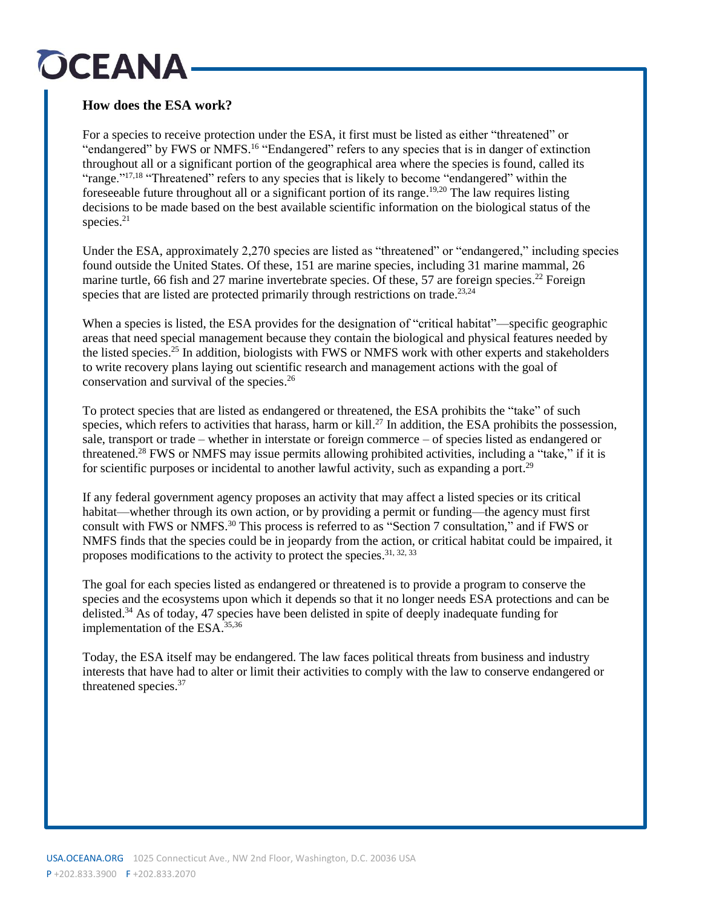## OCEANA

### **How does the ESA work?**

For a species to receive protection under the ESA, it first must be listed as either "threatened" or "endangered" by FWS or NMFS.<sup>16</sup> "Endangered" refers to any species that is in danger of extinction throughout all or a significant portion of the geographical area where the species is found, called its "range."<sup>17,18</sup> "Threatened" refers to any species that is likely to become "endangered" within the foreseeable future throughout all or a significant portion of its range. 19,20 The law requires listing decisions to be made based on the best available scientific information on the biological status of the species. 21

Under the ESA, approximately 2,270 species are listed as "threatened" or "endangered," including species found outside the United States. Of these, 151 are marine species, including 31 marine mammal, 26 marine turtle, 66 fish and 27 marine invertebrate species. Of these, 57 are foreign species.<sup>22</sup> Foreign species that are listed are protected primarily through restrictions on trade.<sup>23,24</sup>

When a species is listed, the ESA provides for the designation of "critical habitat"—specific geographic areas that need special management because they contain the biological and physical features needed by the listed species.<sup>25</sup> In addition, biologists with FWS or NMFS work with other experts and stakeholders to write recovery plans laying out scientific research and management actions with the goal of conservation and survival of the species. 26

To protect species that are listed as endangered or threatened, the ESA prohibits the "take" of such species, which refers to activities that harass, harm or kill.<sup>27</sup> In addition, the ESA prohibits the possession, sale, transport or trade – whether in interstate or foreign commerce – of species listed as endangered or threatened. <sup>28</sup> FWS or NMFS may issue permits allowing prohibited activities, including a "take," if it is for scientific purposes or incidental to another lawful activity, such as expanding a port.<sup>29</sup>

If any federal government agency proposes an activity that may affect a listed species or its critical habitat—whether through its own action, or by providing a permit or funding—the agency must first consult with FWS or NMFS. <sup>30</sup> This process is referred to as "Section 7 consultation," and if FWS or NMFS finds that the species could be in jeopardy from the action, or critical habitat could be impaired, it proposes modifications to the activity to protect the species.<sup>31, 32, 33</sup>

The goal for each species listed as endangered or threatened is to provide a program to conserve the species and the ecosystems upon which it depends so that it no longer needs ESA protections and can be delisted.<sup>34</sup> As of today, 47 species have been delisted in spite of deeply inadequate funding for implementation of the ESA. 35,36

Today, the ESA itself may be endangered. The law faces political threats from business and industry interests that have had to alter or limit their activities to comply with the law to conserve endangered or threatened species. 37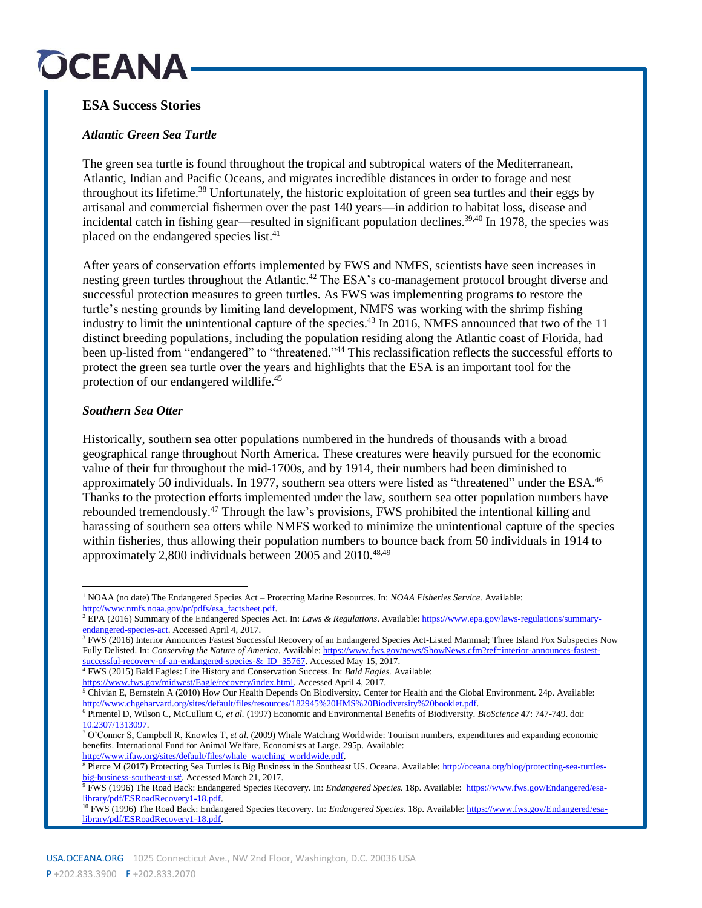## OCEANA

### **ESA Success Stories**

#### *Atlantic Green Sea Turtle*

The green sea turtle is found throughout the tropical and subtropical waters of the Mediterranean, Atlantic, Indian and Pacific Oceans, and migrates incredible distances in order to forage and nest throughout its lifetime. <sup>38</sup> Unfortunately, the historic exploitation of green sea turtles and their eggs by artisanal and commercial fishermen over the past 140 years—in addition to habitat loss, disease and incidental catch in fishing gear—resulted in significant population declines. 39,40 In 1978, the species was placed on the endangered species list. 41

After years of conservation efforts implemented by FWS and NMFS, scientists have seen increases in nesting green turtles throughout the Atlantic.<sup>42</sup> The ESA's co-management protocol brought diverse and successful protection measures to green turtles. As FWS was implementing programs to restore the turtle's nesting grounds by limiting land development, NMFS was working with the shrimp fishing industry to limit the unintentional capture of the species. <sup>43</sup> In 2016, NMFS announced that two of the 11 distinct breeding populations, including the population residing along the Atlantic coast of Florida, had been up-listed from "endangered" to "threatened."<sup>44</sup> This reclassification reflects the successful efforts to protect the green sea turtle over the years and highlights that the ESA is an important tool for the protection of our endangered wildlife.<sup>45</sup>

#### *Southern Sea Otter*

Historically, southern sea otter populations numbered in the hundreds of thousands with a broad geographical range throughout North America. These creatures were heavily pursued for the economic value of their fur throughout the mid-1700s, and by 1914, their numbers had been diminished to approximately 50 individuals. In 1977, southern sea otters were listed as "threatened" under the ESA.<sup>46</sup> Thanks to the protection efforts implemented under the law, southern sea otter population numbers have rebounded tremendously.<sup>47</sup> Through the law's provisions, FWS prohibited the intentional killing and harassing of southern sea otters while NMFS worked to minimize the unintentional capture of the species within fisheries, thus allowing their population numbers to bounce back from 50 individuals in 1914 to approximately 2,800 individuals between 2005 and 2010.<sup>48,49</sup>

<sup>1</sup> NOAA (no date) The Endangered Species Act – Protecting Marine Resources. In: *NOAA Fisheries Service.* Available: [http://www.nmfs.noaa.gov/pr/pdfs/esa\\_factsheet.pdf.](http://www.nmfs.noaa.gov/pr/pdfs/esa_factsheet.pdf)  $\overline{a}$ 

<sup>2</sup> EPA (2016) Summary of the Endangered Species Act. In: *Laws & Regulations*. Available[: https://www.epa.gov/laws-regulations/summary](https://www.epa.gov/laws-regulations/summary-endangered-species-act)[endangered-species-act.](https://www.epa.gov/laws-regulations/summary-endangered-species-act) Accessed April 4, 2017.

<sup>&</sup>lt;sup>3</sup> FWS (2016) Interior Announces Fastest Successful Recovery of an Endangered Species Act-Listed Mammal; Three Island Fox Subspecies Now Fully Delisted. In: *Conserving the Nature of America*. Available: [https://www.fws.gov/news/ShowNews.cfm?ref=interior-announces-fastest](https://www.fws.gov/news/ShowNews.cfm?ref=interior-announces-fastest-successful-recovery-of-an-endangered-species-&_ID=35767)successful-recovery-of-an-endangered-species-& ID=35767. Accessed May 15, 2017.

<sup>4</sup> FWS (2015) Bald Eagles: Life History and Conservation Success. In: *Bald Eagles.* Available:

[https://www.fws.gov/midwest/Eagle/recovery/index.html.](https://www.fws.gov/midwest/Eagle/recovery/index.html) Accessed April 4, 2017.

 $5$  Chivian E, Bernstein A (2010) How Our Health Depends On Biodiversity. Center for Health and the Global Environment. 24p. Available: [http://www.chgeharvard.org/sites/default/files/resources/182945%20HMS%20Biodiversity%20booklet.pdf.](http://www.chgeharvard.org/sites/default/files/resources/182945%20HMS%20Biodiversity%20booklet.pdf) 

<sup>6</sup> Pimentel D, Wilson C, McCullum C, *et al.* (1997) Economic and Environmental Benefits of Biodiversity. *BioScience* 47: 747-749. doi: [10.2307/1313097.](https://academic.oup.com/bioscience/article-lookup/doi/10.2307/1313097)

<sup>7</sup> O'Conner S, Campbell R, Knowles T, *et al.* (2009) Whale Watching Worldwide: Tourism numbers, expenditures and expanding economic benefits. International Fund for Animal Welfare, Economists at Large. 295p. Available: [http://www.ifaw.org/sites/default/files/whale\\_watching\\_worldwide.pdf.](http://www.ifaw.org/sites/default/files/whale_watching_worldwide.pdf) 

<sup>&</sup>lt;sup>8</sup> Pierce M (2017) Protecting Sea Turtles is Big Business in the Southeast US. Oceana. Available: [http://oceana.org/blog/protecting-sea-turtles](http://oceana.org/blog/protecting-sea-turtles-big-business-southeast-us)[big-business-southeast-us#.](http://oceana.org/blog/protecting-sea-turtles-big-business-southeast-us) Accessed March 21, 2017.

<sup>9</sup> FWS (1996) The Road Back: Endangered Species Recovery. In: *Endangered Species.* 18p. Available: [https://www.fws.gov/Endangered/esa](https://www.fws.gov/Endangered/esa-library/pdf/ESRoadRecovery1-18.pdf)[library/pdf/ESRoadRecovery1-18.pdf.](https://www.fws.gov/Endangered/esa-library/pdf/ESRoadRecovery1-18.pdf) 

<sup>10</sup> FWS (1996) The Road Back: Endangered Species Recovery. In: *Endangered Species.* 18p. Available[: https://www.fws.gov/Endangered/esa](https://www.fws.gov/Endangered/esa-library/pdf/ESRoadRecovery1-18.pdf)[library/pdf/ESRoadRecovery1-18.pdf.](https://www.fws.gov/Endangered/esa-library/pdf/ESRoadRecovery1-18.pdf)